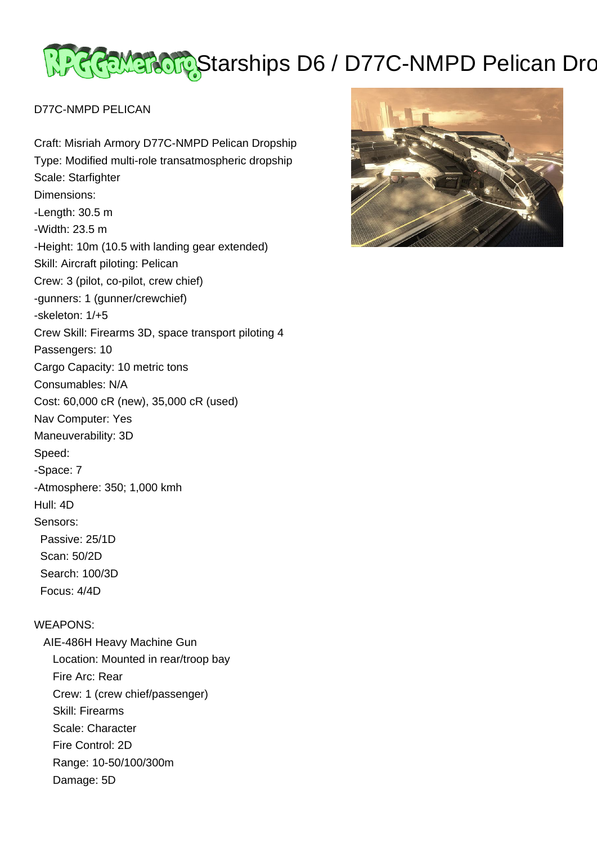# <u>स्ट्रेल्ट्रेल्ट्रेल्ट्रे</u>Starships D6 / D77C-NMPD Pelican Dro

### D77C-NMPD PELICAN

Craft: Misriah Armory D77C-NMPD Pelican Dropship Type: Modified multi-role transatmospheric dropship Scale: Starfighter Dimensions: -Length: 30.5 m -Width: 23.5 m -Height: 10m (10.5 with landing gear extended) Skill: Aircraft piloting: Pelican Crew: 3 (pilot, co-pilot, crew chief) -gunners: 1 (gunner/crewchief) -skeleton: 1/+5 Crew Skill: Firearms 3D, space transport piloting 4 Passengers: 10 Cargo Capacity: 10 metric tons Consumables: N/A Cost: 60,000 cR (new), 35,000 cR (used) Nav Computer: Yes Maneuverability: 3D Speed: -Space: 7 -Atmosphere: 350; 1,000 kmh Hull: 4D Sensors: Passive: 25/1D Scan: 50/2D Search: 100/3D Focus: 4/4D WEAPONS: AIE-486H Heavy Machine Gun

 Location: Mounted in rear/troop bay Fire Arc: Rear Crew: 1 (crew chief/passenger) Skill: Firearms Scale: Character Fire Control: 2D Range: 10-50/100/300m Damage: 5D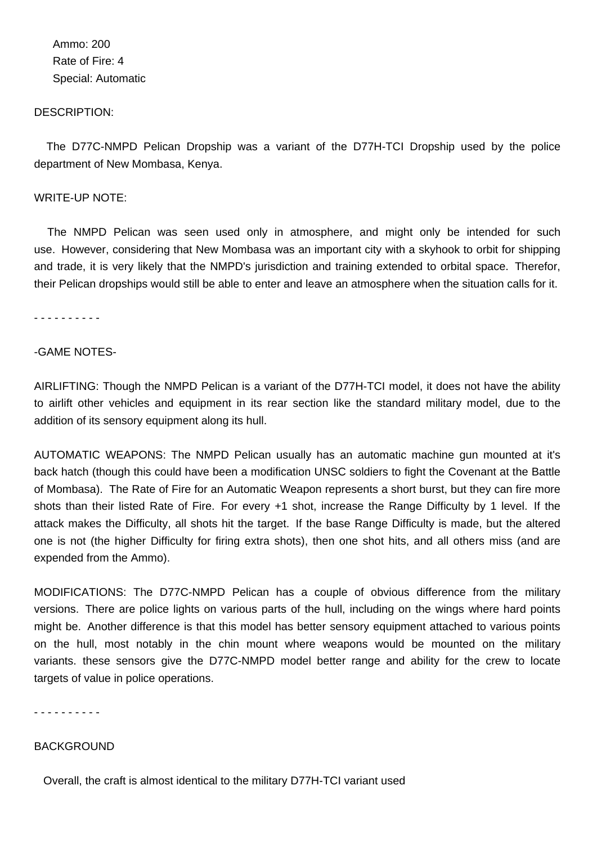Ammo: 200 Rate of Fire: 4 Special: Automatic

#### DESCRIPTION:

 The D77C-NMPD Pelican Dropship was a variant of the D77H-TCI Dropship used by the police department of New Mombasa, Kenya.

#### WRITE-UP NOTE:

 The NMPD Pelican was seen used only in atmosphere, and might only be intended for such use. However, considering that New Mombasa was an important city with a skyhook to orbit for shipping and trade, it is very likely that the NMPD's jurisdiction and training extended to orbital space. Therefor, their Pelican dropships would still be able to enter and leave an atmosphere when the situation calls for it.

- - - - - - - - - -

#### -GAME NOTES-

AIRLIFTING: Though the NMPD Pelican is a variant of the D77H-TCI model, it does not have the ability to airlift other vehicles and equipment in its rear section like the standard military model, due to the addition of its sensory equipment along its hull.

AUTOMATIC WEAPONS: The NMPD Pelican usually has an automatic machine gun mounted at it's back hatch (though this could have been a modification UNSC soldiers to fight the Covenant at the Battle of Mombasa). The Rate of Fire for an Automatic Weapon represents a short burst, but they can fire more shots than their listed Rate of Fire. For every +1 shot, increase the Range Difficulty by 1 level. If the attack makes the Difficulty, all shots hit the target. If the base Range Difficulty is made, but the altered one is not (the higher Difficulty for firing extra shots), then one shot hits, and all others miss (and are expended from the Ammo).

MODIFICATIONS: The D77C-NMPD Pelican has a couple of obvious difference from the military versions. There are police lights on various parts of the hull, including on the wings where hard points might be. Another difference is that this model has better sensory equipment attached to various points on the hull, most notably in the chin mount where weapons would be mounted on the military variants. these sensors give the D77C-NMPD model better range and ability for the crew to locate targets of value in police operations.

- - - - - - - - - -

#### **BACKGROUND**

Overall, the craft is almost identical to the military D77H-TCI variant used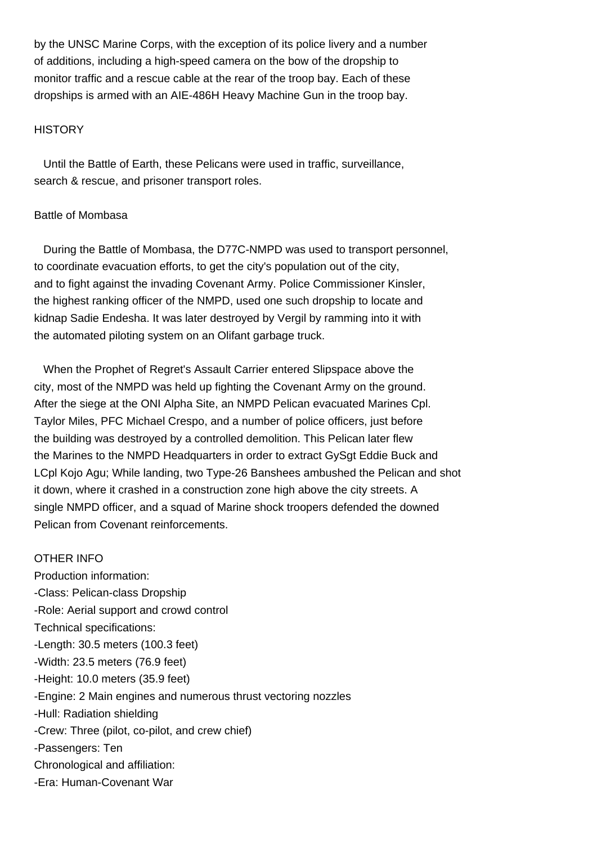by the UNSC Marine Corps, with the exception of its police livery and a number of additions, including a high-speed camera on the bow of the dropship to monitor traffic and a rescue cable at the rear of the troop bay. Each of these dropships is armed with an AIE-486H Heavy Machine Gun in the troop bay.

#### **HISTORY**

 Until the Battle of Earth, these Pelicans were used in traffic, surveillance, search & rescue, and prisoner transport roles.

#### Battle of Mombasa

 During the Battle of Mombasa, the D77C-NMPD was used to transport personnel, to coordinate evacuation efforts, to get the city's population out of the city, and to fight against the invading Covenant Army. Police Commissioner Kinsler, the highest ranking officer of the NMPD, used one such dropship to locate and kidnap Sadie Endesha. It was later destroyed by Vergil by ramming into it with the automated piloting system on an Olifant garbage truck.

 When the Prophet of Regret's Assault Carrier entered Slipspace above the city, most of the NMPD was held up fighting the Covenant Army on the ground. After the siege at the ONI Alpha Site, an NMPD Pelican evacuated Marines Cpl. Taylor Miles, PFC Michael Crespo, and a number of police officers, just before the building was destroyed by a controlled demolition. This Pelican later flew the Marines to the NMPD Headquarters in order to extract GySgt Eddie Buck and LCpl Kojo Agu; While landing, two Type-26 Banshees ambushed the Pelican and shot it down, where it crashed in a construction zone high above the city streets. A single NMPD officer, and a squad of Marine shock troopers defended the downed Pelican from Covenant reinforcements.

## OTHER INFO

Production information: -Class: Pelican-class Dropship -Role: Aerial support and crowd control Technical specifications: -Length: 30.5 meters (100.3 feet) -Width: 23.5 meters (76.9 feet) -Height: 10.0 meters (35.9 feet) -Engine: 2 Main engines and numerous thrust vectoring nozzles -Hull: Radiation shielding -Crew: Three (pilot, co-pilot, and crew chief) -Passengers: Ten Chronological and affiliation: -Era: Human-Covenant War